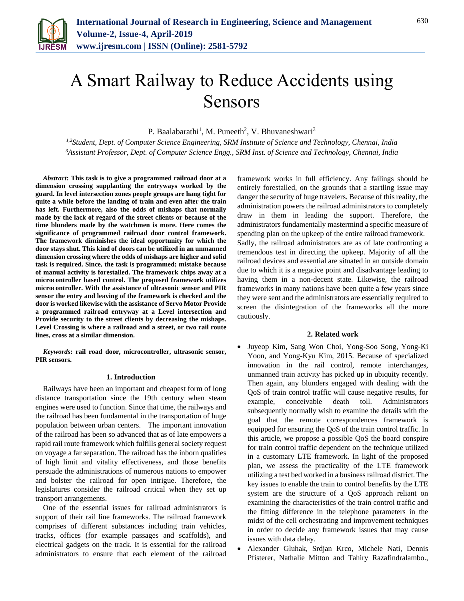

# A Smart Railway to Reduce Accidents using Sensors

P. Baalabarathi<sup>1</sup>, M. Puneeth<sup>2</sup>, V. Bhuvaneshwari<sup>3</sup>

*1,2Student, Dept. of Computer Science Engineering, SRM Institute of Science and Technology, Chennai, India <sup>3</sup>Assistant Professor, Dept. of Computer Science Engg., SRM Inst. of Science and Technology, Chennai, India*

*Abstract***: This task is to give a programmed railroad door at a dimension crossing supplanting the entryways worked by the guard. In level intersection zones people groups are hang tight for quite a while before the landing of train and even after the train has left. Furthermore, also the odds of mishaps that normally made by the lack of regard of the street clients or because of the time blunders made by the watchmen is more. Here comes the significance of programmed railroad door control framework. The framework diminishes the ideal opportunity for which the door stays shut. This kind of doors can be utilized in an unmanned dimension crossing where the odds of mishaps are higher and solid task is required. Since, the task is programmed; mistake because of manual activity is forestalled. The framework chips away at a microcontroller based control. The proposed framework utilizes microcontroller. With the assistance of ultrasonic sensor and PIR sensor the entry and leaving of the framework is checked and the door is worked likewise with the assistance of Servo Motor Provide a programmed railroad entryway at a Level intersection and Provide security to the street clients by decreasing the mishaps. Level Crossing is where a railroad and a street, or two rail route lines, cross at a similar dimension.**

*Keywords***: rail road door, microcontroller, ultrasonic sensor, PIR sensors.**

#### **1. Introduction**

Railways have been an important and cheapest form of long distance transportation since the 19th century when steam engines were used to function. Since that time, the railways and the railroad has been fundamental in the transportation of huge population between urban centers. The important innovation of the railroad has been so advanced that as of late empowers a rapid rail route framework which fulfills general society request on voyage a far separation. The railroad has the inborn qualities of high limit and vitality effectiveness, and those benefits persuade the administrations of numerous nations to empower and bolster the railroad for open intrigue. Therefore, the legislatures consider the railroad critical when they set up transport arrangements.

One of the essential issues for railroad administrators is support of their rail line frameworks. The railroad framework comprises of different substances including train vehicles, tracks, offices (for example passages and scaffolds), and electrical gadgets on the track. It is essential for the railroad administrators to ensure that each element of the railroad framework works in full efficiency. Any failings should be entirely forestalled, on the grounds that a startling issue may danger the security of huge travelers. Because of this reality, the administration powers the railroad administrators to completely draw in them in leading the support. Therefore, the administrators fundamentally mastermind a specific measure of spending plan on the upkeep of the entire railroad framework. Sadly, the railroad administrators are as of late confronting a tremendous test in directing the upkeep. Majority of all the railroad devices and essential are situated in an outside domain due to which it is a negative point and disadvantage leading to having them in a non-decent state. Likewise, the railroad frameworks in many nations have been quite a few years since they were sent and the administrators are essentially required to screen the disintegration of the frameworks all the more cautiously.

### **2. Related work**

- Juyeop Kim, Sang Won Choi, Yong-Soo Song, Yong-Ki Yoon, and Yong-Kyu Kim, 2015. Because of specialized innovation in the rail control, remote interchanges, unmanned train activity has picked up in ubiquity recently. Then again, any blunders engaged with dealing with the QoS of train control traffic will cause negative results, for example, conceivable death toll. Administrators subsequently normally wish to examine the details with the goal that the remote correspondences framework is equipped for ensuring the QoS of the train control traffic. In this article, we propose a possible QoS the board conspire for train control traffic dependent on the technique utilized in a customary LTE framework. In light of the proposed plan, we assess the practicality of the LTE framework utilizing a test bed worked in a business railroad district. The key issues to enable the train to control benefits by the LTE system are the structure of a QoS approach reliant on examining the characteristics of the train control traffic and the fitting difference in the telephone parameters in the midst of the cell orchestrating and improvement techniques in order to decide any framework issues that may cause issues with data delay.
- Alexander Gluhak, Srdjan Krco, Michele Nati, Dennis Pfisterer, Nathalie Mitton and Tahiry Razafindralambo.,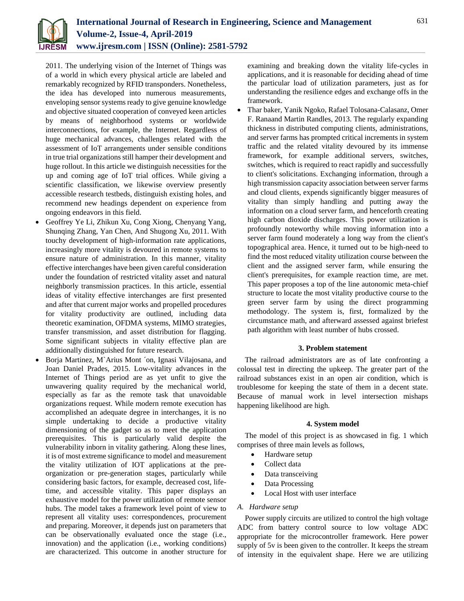

2011. The underlying vision of the Internet of Things was of a world in which every physical article are labeled and remarkably recognized by RFID transponders. Nonetheless, the idea has developed into numerous measurements, enveloping sensor systems ready to give genuine knowledge and objective situated cooperation of conveyed keen articles by means of neighborhood systems or worldwide interconnections, for example, the Internet. Regardless of huge mechanical advances, challenges related with the assessment of IoT arrangements under sensible conditions in true trial organizations still hamper their development and huge rollout. In this article we distinguish necessities for the up and coming age of IoT trial offices. While giving a scientific classification, we likewise overview presently accessible research testbeds, distinguish existing holes, and recommend new headings dependent on experience from ongoing endeavors in this field.

- Geoffrey Ye Li, Zhikun Xu, Cong Xiong, Chenyang Yang, Shunqing Zhang, Yan Chen, And Shugong Xu, 2011. With touchy development of high-information rate applications, increasingly more vitality is devoured in remote systems to ensure nature of administration. In this manner, vitality effective interchanges have been given careful consideration under the foundation of restricted vitality asset and natural neighborly transmission practices. In this article, essential ideas of vitality effective interchanges are first presented and after that current major works and propelled procedures for vitality productivity are outlined, including data theoretic examination, OFDMA systems, MIMO strategies, transfer transmission, and asset distribution for flagging. Some significant subjects in vitality effective plan are additionally distinguished for future research.
- Borja Martinez, M`Arius Mont ´on, Ignasi Vilajosana, and Joan Daniel Prades, 2015. Low-vitality advances in the Internet of Things period are as yet unfit to give the unwavering quality required by the mechanical world, especially as far as the remote task that unavoidable organizations request. While modern remote execution has accomplished an adequate degree in interchanges, it is no simple undertaking to decide a productive vitality dimensioning of the gadget so as to meet the application prerequisites. This is particularly valid despite the vulnerability inborn in vitality gathering. Along these lines, it is of most extreme significance to model and measurement the vitality utilization of IOT applications at the preorganization or pre-generation stages, particularly while considering basic factors, for example, decreased cost, lifetime, and accessible vitality. This paper displays an exhaustive model for the power utilization of remote sensor hubs. The model takes a framework level point of view to represent all vitality uses: correspondences, procurement and preparing. Moreover, it depends just on parameters that can be observationally evaluated once the stage (i.e., innovation) and the application (i.e., working conditions) are characterized. This outcome in another structure for

examining and breaking down the vitality life-cycles in applications, and it is reasonable for deciding ahead of time the particular load of utilization parameters, just as for understanding the resilience edges and exchange offs in the framework.

 Thar baker, Yanik Ngoko, Rafael Tolosana-Calasanz, Omer F. Ranaand Martin Randles, 2013. The regularly expanding thickness in distributed computing clients, administrations, and server farms has prompted critical increments in system traffic and the related vitality devoured by its immense framework, for example additional servers, switches, switches, which is required to react rapidly and successfully to client's solicitations. Exchanging information, through a high transmission capacity association between server farms and cloud clients, expends significantly bigger measures of vitality than simply handling and putting away the information on a cloud server farm, and henceforth creating high carbon dioxide discharges. This power utilization is profoundly noteworthy while moving information into a server farm found moderately a long way from the client's topographical area. Hence, it turned out to be high-need to find the most reduced vitality utilization course between the client and the assigned server farm, while ensuring the client's prerequisites, for example reaction time, are met. This paper proposes a top of the line autonomic meta-chief structure to locate the most vitality productive course to the green server farm by using the direct programming methodology. The system is, first, formalized by the circumstance math, and afterward assessed against briefest path algorithm with least number of hubs crossed.

## **3. Problem statement**

The railroad administrators are as of late confronting a colossal test in directing the upkeep. The greater part of the railroad substances exist in an open air condition, which is troublesome for keeping the state of them in a decent state. Because of manual work in level intersection mishaps happening likelihood are high.

## **4. System model**

The model of this project is as showcased in fig. 1 which comprises of three main levels as follows,

- Hardware setup
- Collect data
- Data transceiving
- Data Processing
- Local Host with user interface

## *A. Hardware setup*

Power supply circuits are utilized to control the high voltage ADC from battery control source to low voltage ADC appropriate for the microcontroller framework. Here power supply of 5v is been given to the controller. It keeps the stream of intensity in the equivalent shape. Here we are utilizing